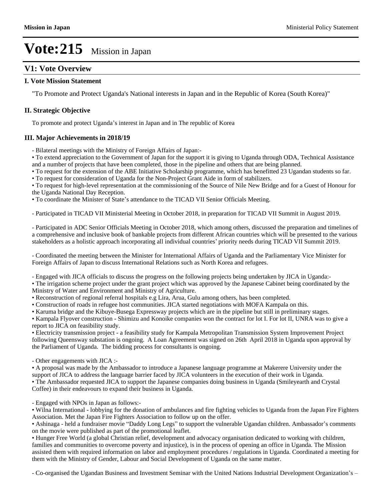## **V1: Vote Overview**

#### **I. Vote Mission Statement**

"To Promote and Protect Uganda's National interests in Japan and in the Republic of Korea (South Korea)"

#### **II. Strategic Objective**

To promote and protect Uganda's interest in Japan and in The republic of Korea

#### **III. Major Achievements in 2018/19**

- Bilateral meetings with the Ministry of Foreign Affairs of Japan:-

To extend appreciation to the Government of Japan for the support it is giving to Uganda through ODA, Technical Assistance and a number of projects that have been completed, those in the pipeline and others that are being planned.

To request for the extension of the ABE Initiative Scholarship programme, which has benefitted 23 Ugandan students so far.

To request for consideration of Uganda for the Non-Project Grant Aide in form of stabilizers.

To request for high-level representation at the commissioning of the Source of Nile New Bridge and for a Guest of Honour for the Uganda National Day Reception.

• To coordinate the Minister of State's attendance to the TICAD VII Senior Officials Meeting.

- Participated in TICAD VII Ministerial Meeting in October 2018, in preparation for TICAD VII Summit in August 2019.

- Participated in ADC Senior Officials Meeting in October 2018, which among others, discussed the preparation and timelines of a comprehensive and inclusive book of bankable projects from different African countries which will be presented to the various stakeholders as a holistic approach incorporating all individual countries' priority needs during TICAD VII Summit 2019.

- Coordinated the meeting between the Minister for International Affairs of Uganda and the Parliamentary Vice Minister for Foreign Affairs of Japan to discuss International Relations such as North Korea and refugees.

- Engaged with JICA officials to discuss the progress on the following projects being undertaken by JICA in Uganda:-

The irrigation scheme project under the grant project which was approved by the Japanese Cabinet being coordinated by the Ministry of Water and Environment and Ministry of Agriculture.

Reconstruction of regional referral hospitals e.g Lira, Arua, Gulu among others, has been completed.

Construction of roads in refugee host communities. JICA started negotiations with MOFA Kampala on this.

Karuma bridge and the Kibuye-Busega Expressway projects which are in the pipeline but still in preliminary stages.

• Kampala Flyover construction - Shimizu and Konoike companies won the contract for lot I. For lot II, UNRA was to give a report to JICA on feasibility study.

Electricity transmission project - a feasibility study for Kampala Metropolitan Transmission System Improvement Project following Queensway substation is ongoing. A Loan Agreement was signed on 26th April 2018 in Uganda upon approval by the Parliament of Uganda. The bidding process for consultants is ongoing.

- Other engagements with JICA :-

A proposal was made by the Ambassador to introduce a Japanese language programme at Makerere University under the support of JICA to address the language barrier faced by JICA volunteers in the execution of their work in Uganda. The Ambassador requested JICA to support the Japanese companies doing business in Uganda (Smileyearth and Crystal

Coffee) in their endeavours to expand their business in Uganda.

- Engaged with NPOs in Japan as follows:-

Wilna International - lobbying for the donation of ambulances and fire fighting vehicles to Uganda from the Japan Fire Fighters Association. Met the Japan Fire Fighters Association to follow up on the offer.

• Ashinaga - held a fundraiser movie "Daddy Long Legs" to support the vulnerable Ugandan children. Ambassador's comments on the movie were published as part of the promotional leaflet.

Hunger Free World (a global Christian relief, development and advocacy organisation dedicated to working with children, families and communities to overcome poverty and injustice), is in the process of opening an office in Uganda. The Mission assisted them with required information on labor and employment procedures / regulations in Uganda. Coordinated a meeting for them with the Ministry of Gender, Labour and Social Development of Uganda on the same matter.

- Co-organised the Ugandan Business and Investment Seminar with the United Nations Industrial Development Organization's -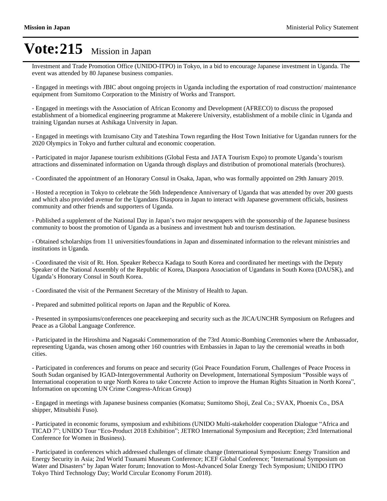Investment and Trade Promotion Office (UNIDO-ITPO) in Tokyo, in a bid to encourage Japanese investment in Uganda. The event was attended by 80 Japanese business companies.

- Engaged in meetings with JBIC about ongoing projects in Uganda including the exportation of road construction/ maintenance equipment from Sumitomo Corporation to the Ministry of Works and Transport.

- Engaged in meetings with the Association of African Economy and Development (AFRECO) to discuss the proposed establishment of a biomedical engineering programme at Makerere University, establishment of a mobile clinic in Uganda and training Ugandan nurses at Ashikaga University in Japan.

- Engaged in meetings with Izumisano City and Tateshina Town regarding the Host Town Initiative for Ugandan runners for the 2020 Olympics in Tokyo and further cultural and economic cooperation.

- Participated in major Japanese tourism exhibitions (Global Festa and JATA Tourism Expo) to promote Uganda's tourism attractions and disseminated information on Uganda through displays and distribution of promotional materials (brochures).

- Coordinated the appointment of an Honorary Consul in Osaka, Japan, who was formally appointed on 29th January 2019.

- Hosted a reception in Tokyo to celebrate the 56th Independence Anniversary of Uganda that was attended by over 200 guests and which also provided avenue for the Ugandans Diaspora in Japan to interact with Japanese government officials, business community and other friends and supporters of Uganda.

- Published a supplement of the National Day in Japan's two major newspapers with the sponsorship of the Japanese business community to boost the promotion of Uganda as a business and investment hub and tourism destination.

- Obtained scholarships from 11 universities/foundations in Japan and disseminated information to the relevant ministries and institutions in Uganda.

- Coordinated the visit of Rt. Hon. Speaker Rebecca Kadaga to South Korea and coordinated her meetings with the Deputy Speaker of the National Assembly of the Republic of Korea, Diaspora Association of Ugandans in South Korea (DAUSK), and Uganda's Honorary Consul in South Korea.

- Coordinated the visit of the Permanent Secretary of the Ministry of Health to Japan.

- Prepared and submitted political reports on Japan and the Republic of Korea.

- Presented in symposiums/conferences one peacekeeping and security such as the JICA/UNCHR Symposium on Refugees and Peace as a Global Language Conference.

- Participated in the Hiroshima and Nagasaki Commemoration of the 73rd Atomic-Bombing Ceremonies where the Ambassador, representing Uganda, was chosen among other 160 countries with Embassies in Japan to lay the ceremonial wreaths in both cities.

- Participated in conferences and forums on peace and security (Goi Peace Foundation Forum, Challenges of Peace Process in South Sudan organised by IGAD-Intergovernmental Authority on Development, International Symposium "Possible ways of International cooperation to urge North Korea to take Concrete Action to improve the Human Rights Situation in North Korea´ Information on upcoming UN Crime Congress-African Group)

- Engaged in meetings with Japanese business companies (Komatsu; Sumitomo Shoji, Zeal Co.; SVAX, Phoenix Co., DSA shipper, Mitsubishi Fuso).

- Participated in economic forums, symposium and exhibitions (UNIDO Multi-stakeholder cooperation Dialogue "Africa and TICAD 7"; UNIDO Tour "Eco-Product 2018 Exhibition"; JETRO International Symposium and Reception; 23rd International Conference for Women in Business).

- Participated in conferences which addressed challenges of climate change (International Symposium: Energy Transition and Energy Security in Asia; 2nd World Tsunami Museum Conference; ICEF Global Conference; "International Symposium on Water and Disasters" by Japan Water forum; Innovation to Most-Advanced Solar Energy Tech Symposium; UNIDO ITPO Tokyo Third Technology Day; World Circular Economy Forum 2018).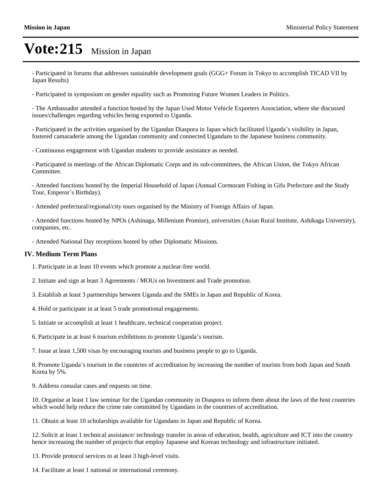- Participated in forums that addresses sustainable development goals (GGG+ Forum in Tokyo to accomplish TICAD VII by Japan Results)

- Participated in symposium on gender equality such as Promoting Future Women Leaders in Politics.

- The Ambassador attended a function hosted by the Japan Used Motor Vehicle Exporters Association, where she discussed issues/challenges regarding vehicles being exported to Uganda.

- Participated in the activities organised by the Ugandan Diaspora in Japan which facilitated Uganda's visibility in Japan, fostered camaraderie among the Ugandan community and connected Ugandans to the Japanese business community.

- Continuous engagement with Ugandan students to provide assistance as needed.

- Participated in meetings of the African Diplomatic Corps and its sub-committees, the African Union, the Tokyo African Committee.

- Attended functions hosted by the Imperial Household of Japan (Annual Cormorant Fishing in Gifu Prefecture and the Study Tour, Emperor's Birthday).

- Attended prefectural/regional/city tours organised by the Ministry of Foreign Affairs of Japan.

- Attended functions hosted by NPOs (Ashinaga, Millenium Promise), universities (Asian Rural Institute, Ashikaga University), companies, etc.

- Attended National Day receptions hosted by other Diplomatic Missions.

#### **IV. Medium Term Plans**

- 1. Participate in at least 10 events which promote a nuclear-free world.
- 2. Initiate and sign at least 3 Agreements / MOUs on Investment and Trade promotion.
- 3. Establish at least 3 partnerships between Uganda and the SMEs in Japan and Republic of Korea.
- 4. Hold or participate in at least 5 trade promotional engagements.
- 5. Initiate or accomplish at least 1 healthcare, technical cooperation project.
- 6. Participate in at least 6 tourism exhibitions to promote Uganda's tourism.

7. Issue at least 1,500 visas by encouraging tourists and business people to go to Uganda.

8. Promote Uganda's tourism in the countries of accreditation by increasing the number of tourists from both Japan and South Korea by 5%.

9. Address consular cases and requests on time.

10. Organise at least 1 law seminar for the Ugandan community in Diaspora to inform them about the laws of the host countries which would help reduce the crime rate committed by Ugandans in the countries of accreditation.

11. Obtain at least 10 scholarships available for Ugandans in Japan and Republic of Korea.

12. Solicit at least 1 technical assistance/ technology transfer in areas of education, health, agriculture and ICT into the country hence increasing the number of projects that employ Japanese and Korean technology and infrastructure initiated.

13. Provide protocol services to at least 3 high-level visits.

14. Facilitate at least 1 national or international ceremony.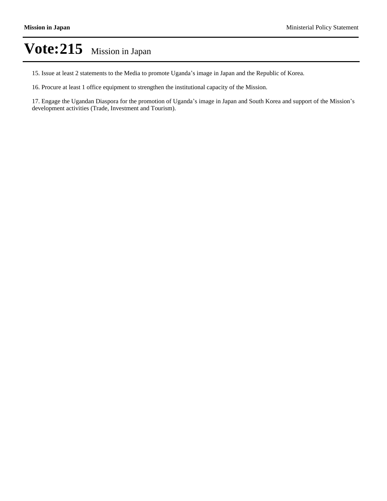15. Issue at least 2 statements to the Media to promote Uganda's image in Japan and the Republic of Korea.

16. Procure at least 1 office equipment to strengthen the institutional capacity of the Mission.

17. Engage the Ugandan Diaspora for the promotion of Uganda's image in Japan and South Korea and support of the Mission's development activities (Trade, Investment and Tourism).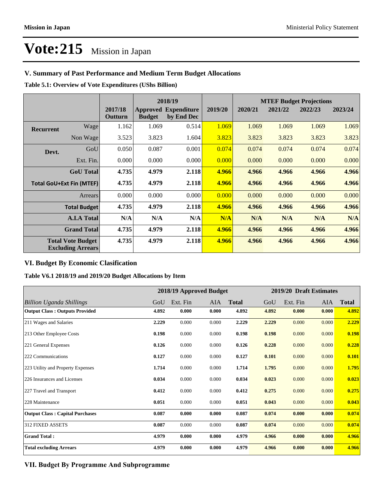### **V. Summary of Past Performance and Medium Term Budget Allocations**

**Table 5.1: Overview of Vote Expenditures (UShs Billion)**

|                                                      | 2018/19            |                    |               |                                           | <b>MTEF Budget Projections</b> |         |         |         |         |
|------------------------------------------------------|--------------------|--------------------|---------------|-------------------------------------------|--------------------------------|---------|---------|---------|---------|
|                                                      |                    | 2017/18<br>Outturn | <b>Budget</b> | <b>Approved Expenditure</b><br>by End Dec | 2019/20                        | 2020/21 | 2021/22 | 2022/23 | 2023/24 |
| <b>Recurrent</b>                                     | Wage               | 1.162              | 1.069         | 0.514                                     | 1.069                          | 1.069   | 1.069   | 1.069   | 1.069   |
|                                                      | Non Wage           | 3.523              | 3.823         | 1.604                                     | 3.823                          | 3.823   | 3.823   | 3.823   | 3.823   |
| Devt.                                                | GoU                | 0.050              | 0.087         | 0.001                                     | 0.074                          | 0.074   | 0.074   | 0.074   | 0.074   |
|                                                      | Ext. Fin.          | 0.000              | 0.000         | 0.000                                     | 0.000                          | 0.000   | 0.000   | 0.000   | 0.000   |
|                                                      | <b>GoU</b> Total   | 4.735              | 4.979         | 2.118                                     | 4.966                          | 4.966   | 4.966   | 4.966   | 4.966   |
| <b>Total GoU+Ext Fin (MTEF)</b>                      |                    | 4.735              | 4.979         | 2.118                                     | 4.966                          | 4.966   | 4.966   | 4.966   | 4.966   |
| Arrears                                              |                    | 0.000              | 0.000         | 0.000                                     | 0.000                          | 0.000   | 0.000   | 0.000   | 0.000   |
| <b>Total Budget</b>                                  |                    | 4.735              | 4.979         | 2.118                                     | 4.966                          | 4.966   | 4.966   | 4.966   | 4.966   |
|                                                      | <b>A.I.A Total</b> | N/A                | N/A           | N/A                                       | N/A                            | N/A     | N/A     | N/A     | N/A     |
| <b>Grand Total</b>                                   |                    | 4.735              | 4.979         | 2.118                                     | 4.966                          | 4.966   | 4.966   | 4.966   | 4.966   |
| <b>Total Vote Budget</b><br><b>Excluding Arrears</b> |                    | 4.735              | 4.979         | 2.118                                     | 4.966                          | 4.966   | 4.966   | 4.966   | 4.966   |

### **VI. Budget By Economic Clasification**

**Table V6.1 2018/19 and 2019/20 Budget Allocations by Item**

|                                        | 2018/19 Approved Budget |          |       | 2019/20 Draft Estimates |       |          |            |              |
|----------------------------------------|-------------------------|----------|-------|-------------------------|-------|----------|------------|--------------|
| Billion Uganda Shillings               | GoU                     | Ext. Fin | AIA   | <b>Total</b>            | GoU   | Ext. Fin | <b>AIA</b> | <b>Total</b> |
| <b>Output Class: Outputs Provided</b>  | 4.892                   | 0.000    | 0.000 | 4.892                   | 4.892 | 0.000    | 0.000      | 4.892        |
| 211 Wages and Salaries                 | 2.229                   | 0.000    | 0.000 | 2.229                   | 2.229 | 0.000    | 0.000      | 2.229        |
| 213 Other Employee Costs               | 0.198                   | 0.000    | 0.000 | 0.198                   | 0.198 | 0.000    | 0.000      | 0.198        |
| 221 General Expenses                   | 0.126                   | 0.000    | 0.000 | 0.126                   | 0.228 | 0.000    | 0.000      | 0.228        |
| 222 Communications                     | 0.127                   | 0.000    | 0.000 | 0.127                   | 0.101 | 0.000    | 0.000      | 0.101        |
| 223 Utility and Property Expenses      | 1.714                   | 0.000    | 0.000 | 1.714                   | 1.795 | 0.000    | 0.000      | 1.795        |
| 226 Insurances and Licenses            | 0.034                   | 0.000    | 0.000 | 0.034                   | 0.023 | 0.000    | 0.000      | 0.023        |
| 227 Travel and Transport               | 0.412                   | 0.000    | 0.000 | 0.412                   | 0.275 | 0.000    | 0.000      | 0.275        |
| 228 Maintenance                        | 0.051                   | 0.000    | 0.000 | 0.051                   | 0.043 | 0.000    | 0.000      | 0.043        |
| <b>Output Class: Capital Purchases</b> | 0.087                   | 0.000    | 0.000 | 0.087                   | 0.074 | 0.000    | 0.000      | 0.074        |
| <b>312 FIXED ASSETS</b>                | 0.087                   | 0.000    | 0.000 | 0.087                   | 0.074 | 0.000    | 0.000      | 0.074        |
| <b>Grand Total:</b>                    | 4.979                   | 0.000    | 0.000 | 4.979                   | 4.966 | 0.000    | 0.000      | 4.966        |
| <b>Total excluding Arrears</b>         | 4.979                   | 0.000    | 0.000 | 4.979                   | 4.966 | 0.000    | 0.000      | 4.966        |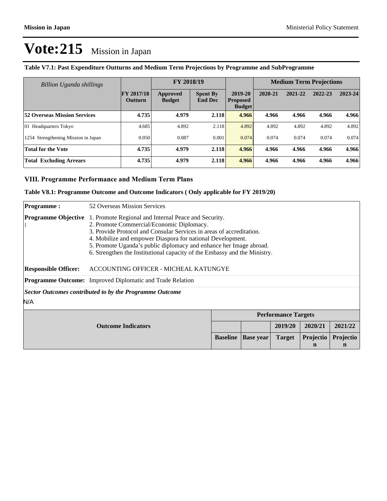| Billion Uganda shillings            |                                     | FY 2018/19                |                                   |                                             | <b>Medium Term Projections</b> |         |         |         |
|-------------------------------------|-------------------------------------|---------------------------|-----------------------------------|---------------------------------------------|--------------------------------|---------|---------|---------|
|                                     | <b>FY 2017/18</b><br><b>Outturn</b> | Approved<br><b>Budget</b> | <b>Spent By</b><br><b>End Dec</b> | 2019-20<br><b>Proposed</b><br><b>Budget</b> | 2020-21                        | 2021-22 | 2022-23 | 2023-24 |
| <b>52 Overseas Mission Services</b> | 4.735                               | 4.979                     | 2.118                             | 4.966                                       | 4.966                          | 4.966   | 4.966   | 4.966   |
| 01 Headquarters Tokyo               | 4.685                               | 4.892                     | 2.118                             | 4.892                                       | 4.892                          | 4.892   | 4.892   | 4.892   |
| 1254 Strengthening Mission in Japan | 0.050                               | 0.087                     | 0.001                             | 0.074                                       | 0.074                          | 0.074   | 0.074   | 0.074   |
| <b>Total for the Vote</b>           | 4.735                               | 4.979                     | 2.118                             | 4.966                                       | 4.966                          | 4.966   | 4.966   | 4.966   |
| <b>Total Excluding Arrears</b>      | 4.735                               | 4.979                     | 2.118                             | 4.966                                       | 4.966                          | 4.966   | 4.966   | 4.966   |

### **Table V7.1: Past Expenditure Outturns and Medium Term Projections by Programme and SubProgramme**

#### **VIII. Programme Performance and Medium Term Plans**

#### **Table V8.1: Programme Outcome and Outcome Indicators ( Only applicable for FY 2019/20)**

| <b>Programme:</b>                               | 52 Overseas Mission Services                                                                                                                                                                                                                                                                                                                                                               |                 |                  |               |                |                          |
|-------------------------------------------------|--------------------------------------------------------------------------------------------------------------------------------------------------------------------------------------------------------------------------------------------------------------------------------------------------------------------------------------------------------------------------------------------|-----------------|------------------|---------------|----------------|--------------------------|
| <b>Programme Objective</b>                      | 1. Promote Regional and Internal Peace and Security.<br>2. Promote Commercial/Economic Diplomacy.<br>3. Provide Protocol and Consular Services in areas of accreditation.<br>4. Mobilize and empower Diaspora for national Development.<br>5. Promote Uganda's public diplomacy and enhance her Image abroad.<br>6. Strengthen the Institutional capacity of the Embassy and the Ministry. |                 |                  |               |                |                          |
| <b>Responsible Officer:</b>                     | ACCOUNTING OFFICER - MICHEAL KATUNGYE                                                                                                                                                                                                                                                                                                                                                      |                 |                  |               |                |                          |
|                                                 | Programme Outcome: Improved Diplomatic and Trade Relation                                                                                                                                                                                                                                                                                                                                  |                 |                  |               |                |                          |
| N/A                                             | Sector Outcomes contributed to by the Programme Outcome                                                                                                                                                                                                                                                                                                                                    |                 |                  |               |                |                          |
|                                                 | <b>Performance Targets</b>                                                                                                                                                                                                                                                                                                                                                                 |                 |                  |               |                |                          |
| 2019/20<br>2020/21<br><b>Outcome Indicators</b> |                                                                                                                                                                                                                                                                                                                                                                                            |                 |                  | 2021/22       |                |                          |
|                                                 |                                                                                                                                                                                                                                                                                                                                                                                            | <b>Baseline</b> | <b>Base year</b> | <b>Target</b> | Projectio<br>n | Projectio<br>$\mathbf n$ |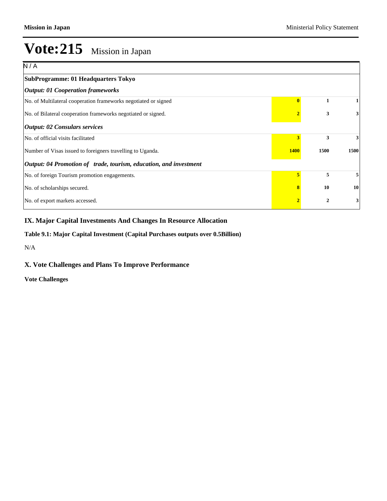| N/A                                                                      |   |                |      |
|--------------------------------------------------------------------------|---|----------------|------|
| SubProgramme: 01 Headquarters Tokyo                                      |   |                |      |
| <b>Output: 01 Cooperation frameworks</b>                                 |   |                |      |
| No. of Multilateral cooperation frameworks negotiated or signed          |   | 1              |      |
| No. of Bilateral cooperation frameworks negotiated or signed.            |   | 3              | 3    |
| <b>Output: 02 Consulars services</b>                                     |   |                |      |
| No. of official visits facilitated                                       | 3 | 3              | 3    |
| Number of Visas issued to foreigners travelling to Uganda.               |   | 1500           | 1500 |
| <i>Output: 04 Promotion of trade, tourism, education, and investment</i> |   |                |      |
| No. of foreign Tourism promotion engagements.                            | 5 | 5              | 5    |
| No. of scholarships secured.                                             | 8 | 10             | 10   |
| No. of export markets accessed.                                          |   | $\overline{2}$ | 3    |

## **IX. Major Capital Investments And Changes In Resource Allocation**

#### **Table 9.1: Major Capital Investment (Capital Purchases outputs over 0.5Billion)**

N/A

### **X. Vote Challenges and Plans To Improve Performance**

**Vote Challenges**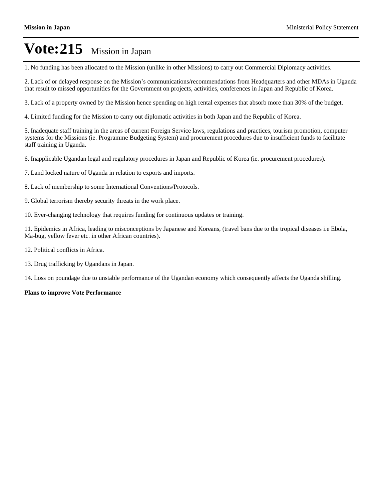1. No funding has been allocated to the Mission (unlike in other Missions) to carry out Commercial Diplomacy activities.

2. Lack of or delayed response on the Mission's communications/recommendations from Headquarters and other MDAs in Uganda that result to missed opportunities for the Government on projects, activities, conferences in Japan and Republic of Korea.

3. Lack of a property owned by the Mission hence spending on high rental expenses that absorb more than 30% of the budget.

4. Limited funding for the Mission to carry out diplomatic activities in both Japan and the Republic of Korea.

5. Inadequate staff training in the areas of current Foreign Service laws, regulations and practices, tourism promotion, computer systems for the Missions (ie. Programme Budgeting System) and procurement procedures due to insufficient funds to facilitate staff training in Uganda.

6. Inapplicable Ugandan legal and regulatory procedures in Japan and Republic of Korea (ie. procurement procedures).

7. Land locked nature of Uganda in relation to exports and imports.

- 8. Lack of membership to some International Conventions/Protocols.
- 9. Global terrorism thereby security threats in the work place.
- 10. Ever-changing technology that requires funding for continuous updates or training.

11. Epidemics in Africa, leading to misconceptions by Japanese and Koreans, (travel bans due to the tropical diseases i.e Ebola, Ma-bug, yellow fever etc. in other African countries).

- 12. Political conflicts in Africa.
- 13. Drug trafficking by Ugandans in Japan.

14. Loss on poundage due to unstable performance of the Ugandan economy which consequently affects the Uganda shilling.

#### **Plans to improve Vote Performance**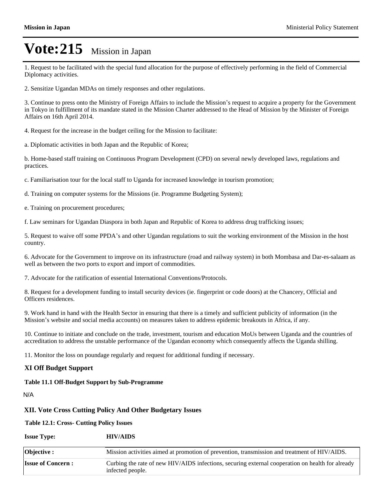1. Request to be facilitated with the special fund allocation for the purpose of effectively performing in the field of Commercial Diplomacy activities.

2. Sensitize Ugandan MDAs on timely responses and other regulations.

3. Continue to press onto the Ministry of Foreign Affairs to include the Mission's request to acquire a property for the Government in Tokyo in fulfillment of its mandate stated in the Mission Charter addressed to the Head of Mission by the Minister of Foreign Affairs on 16th April 2014.

4. Request for the increase in the budget ceiling for the Mission to facilitate:

a. Diplomatic activities in both Japan and the Republic of Korea;

b. Home-based staff training on Continuous Program Development (CPD) on several newly developed laws, regulations and practices.

c. Familiarisation tour for the local staff to Uganda for increased knowledge in tourism promotion;

d. Training on computer systems for the Missions (ie. Programme Budgeting System);

e. Training on procurement procedures;

f. Law seminars for Ugandan Diaspora in both Japan and Republic of Korea to address drug trafficking issues;

5. Request to waive off some PPDA's and other Ugandan regulations to suit the working environment of the Mission in the host country.

6. Advocate for the Government to improve on its infrastructure (road and railway system) in both Mombasa and Dar-es-salaam as well as between the two ports to export and import of commodities.

7. Advocate for the ratification of essential International Conventions/Protocols.

8. Request for a development funding to install security devices (ie. fingerprint or code doors) at the Chancery, Official and Officers residences.

9. Work hand in hand with the Health Sector in ensuring that there is a timely and sufficient publicity of information (in the Mission's website and social media accounts) on measures taken to address epidemic breakouts in Africa, if any.

10. Continue to initiate and conclude on the trade, investment, tourism and education MoUs between Uganda and the countries of accreditation to address the unstable performance of the Ugandan economy which consequently affects the Uganda shilling.

11. Monitor the loss on poundage regularly and request for additional funding if necessary.

#### **XI Off Budget Support**

#### **Table 11.1 Off-Budget Support by Sub-Programme**

N/A

#### **XII. Vote Cross Cutting Policy And Other Budgetary Issues**

**Table 12.1: Cross- Cutting Policy Issues**

#### **Issue Type: HIV/AIDS**

| <b>Objective</b> :       | Mission activities aimed at promotion of prevention, transmission and treatment of HIV/AIDS.                         |
|--------------------------|----------------------------------------------------------------------------------------------------------------------|
| <b>Issue of Concern:</b> | Curbing the rate of new HIV/AIDS infections, securing external cooperation on health for already<br>infected people. |